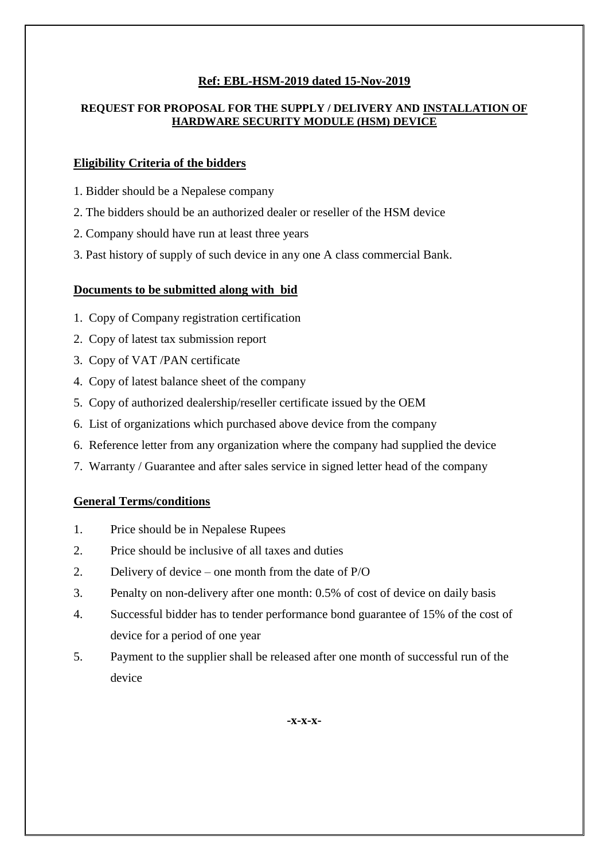# **Ref: EBL-HSM-2019 dated 15-Nov-2019**

#### **REQUEST FOR PROPOSAL FOR THE SUPPLY / DELIVERY AND INSTALLATION OF HARDWARE SECURITY MODULE (HSM) DEVICE**

### **Eligibility Criteria of the bidders**

- 1. Bidder should be a Nepalese company
- 2. The bidders should be an authorized dealer or reseller of the HSM device
- 2. Company should have run at least three years
- 3. Past history of supply of such device in any one A class commercial Bank.

# **Documents to be submitted along with bid**

- 1. Copy of Company registration certification
- 2. Copy of latest tax submission report
- 3. Copy of VAT /PAN certificate
- 4. Copy of latest balance sheet of the company
- 5. Copy of authorized dealership/reseller certificate issued by the OEM
- 6. List of organizations which purchased above device from the company
- 6. Reference letter from any organization where the company had supplied the device
- 7. Warranty / Guarantee and after sales service in signed letter head of the company

#### **General Terms/conditions**

- 1. Price should be in Nepalese Rupees
- 2. Price should be inclusive of all taxes and duties
- 2. Delivery of device one month from the date of P/O
- 3. Penalty on non-delivery after one month: 0.5% of cost of device on daily basis
- 4. Successful bidder has to tender performance bond guarantee of 15% of the cost of device for a period of one year
- 5. Payment to the supplier shall be released after one month of successful run of the device

**-x-x-x-**